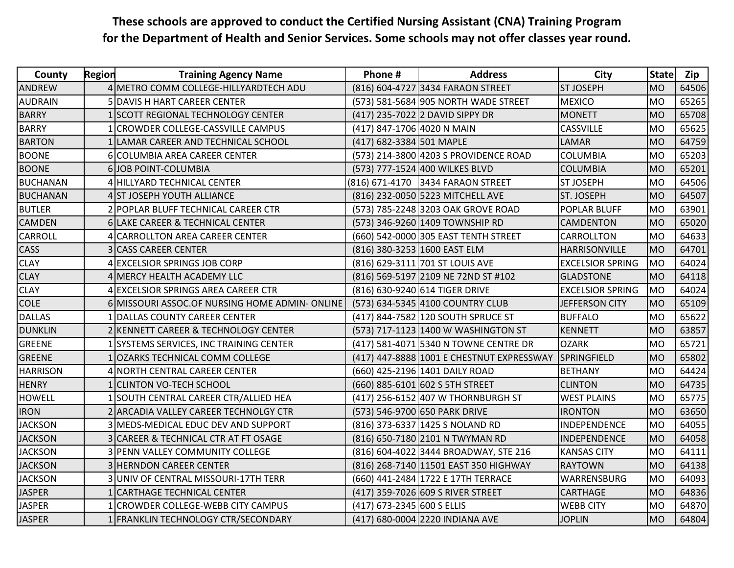## **These schools are approved to conduct the Certified Nursing Assistant (CNA) Training Program for the Department of Health and Senior Services. Some schools may not offer classes year round.**

| County          | <b>Region</b> | <b>Training Agency Name</b>                   | Phone #                    | <b>Address</b>                            | City                    | <b>State</b>  | Zip   |
|-----------------|---------------|-----------------------------------------------|----------------------------|-------------------------------------------|-------------------------|---------------|-------|
| <b>ANDREW</b>   |               | 4 METRO COMM COLLEGE-HILLYARDTECH ADU         |                            | (816) 604-4727 3434 FARAON STREET         | <b>ST JOSEPH</b>        | <b>MO</b>     | 64506 |
| <b>AUDRAIN</b>  |               | 5 DAVIS H HART CAREER CENTER                  |                            | (573) 581-5684 905 NORTH WADE STREET      | <b>MEXICO</b>           | <b>MO</b>     | 65265 |
| <b>BARRY</b>    |               | 1 SCOTT REGIONAL TECHNOLOGY CENTER            |                            | (417) 235-7022 2 DAVID SIPPY DR           | <b>MONETT</b>           | <b>MO</b>     | 65708 |
| <b>BARRY</b>    |               | <b>CROWDER COLLEGE-CASSVILLE CAMPUS</b>       | (417) 847-1706 4020 N MAIN |                                           | <b>CASSVILLE</b>        | <b>MO</b>     | 65625 |
| <b>BARTON</b>   |               | 1 LAMAR CAREER AND TECHNICAL SCHOOL           | (417) 682-3384 501 MAPLE   |                                           | LAMAR                   | <b>MO</b>     | 64759 |
| <b>BOONE</b>    |               | 6 COLUMBIA AREA CAREER CENTER                 |                            | (573) 214-3800 4203 S PROVIDENCE ROAD     | <b>COLUMBIA</b>         | <b>MO</b>     | 65203 |
| <b>BOONE</b>    |               | 6 JOB POINT-COLUMBIA                          |                            | (573) 777-1524 400 WILKES BLVD            | <b>COLUMBIA</b>         | <b>MO</b>     | 65201 |
| <b>BUCHANAN</b> |               | 4 HILLYARD TECHNICAL CENTER                   |                            | (816) 671-4170 3434 FARAON STREET         | <b>ST JOSEPH</b>        | <b>MO</b>     | 64506 |
| <b>BUCHANAN</b> |               | 4 ST JOSEPH YOUTH ALLIANCE                    |                            | (816) 232-0050 5223 MITCHELL AVE          | ST. JOSEPH              | <b>MO</b>     | 64507 |
| <b>BUTLER</b>   |               | 2 POPLAR BLUFF TECHNICAL CAREER CTR           |                            | (573) 785-2248 3203 OAK GROVE ROAD        | POPLAR BLUFF            | <b>MO</b>     | 63901 |
| <b>CAMDEN</b>   |               | 6 LAKE CAREER & TECHNICAL CENTER              |                            | (573) 346-9260 1409 TOWNSHIP RD           | CAMDENTON               | <b>IMO</b>    | 65020 |
| <b>CARROLL</b>  | 4             | <b>CARROLLTON AREA CAREER CENTER</b>          |                            | (660) 542-0000 305 EAST TENTH STREET      | CARROLLTON              | <b>MO</b>     | 64633 |
| <b>CASS</b>     |               | 3 CASS CAREER CENTER                          |                            | (816) 380-3253 1600 EAST ELM              | <b>HARRISONVILLE</b>    | <b>MO</b>     | 64701 |
| <b>CLAY</b>     |               | 4 EXCELSIOR SPRINGS JOB CORP                  |                            | (816) 629-3111 701 ST LOUIS AVE           | <b>EXCELSIOR SPRING</b> | <b>MO</b>     | 64024 |
| <b>CLAY</b>     |               | 4 MERCY HEALTH ACADEMY LLC                    |                            | (816) 569-5197 2109 NE 72ND ST #102       | <b>GLADSTONE</b>        | <b>MO</b>     | 64118 |
| <b>CLAY</b>     |               | 4 EXCELSIOR SPRINGS AREA CAREER CTR           |                            | (816) 630-9240 614 TIGER DRIVE            | <b>EXCELSIOR SPRING</b> | <b>MO</b>     | 64024 |
| <b>COLE</b>     |               | 6 MISSOURI ASSOC.OF NURSING HOME ADMIN-ONLINE |                            | (573) 634-5345 4100 COUNTRY CLUB          | JEFFERSON CITY          | <b>MO</b>     | 65109 |
| <b>DALLAS</b>   |               | 1 DALLAS COUNTY CAREER CENTER                 |                            | (417) 844-7582 120 SOUTH SPRUCE ST        | <b>BUFFALO</b>          | <b>MO</b>     | 65622 |
| <b>DUNKLIN</b>  |               | 2 KENNETT CAREER & TECHNOLOGY CENTER          |                            | (573) 717-1123 1400 W WASHINGTON ST       | <b>KENNETT</b>          | <b>MO</b>     | 63857 |
| <b>GREENE</b>   |               | 1 SYSTEMS SERVICES, INC TRAINING CENTER       |                            | (417) 581-4071 5340 N TOWNE CENTRE DR     | <b>OZARK</b>            | <b>MO</b>     | 65721 |
| <b>GREENE</b>   |               | <b>OZARKS TECHNICAL COMM COLLEGE</b>          |                            | (417) 447-8888 1001 E CHESTNUT EXPRESSWAY | SPRINGFIELD             | <sub>MO</sub> | 65802 |
| <b>HARRISON</b> | 4             | <b>NORTH CENTRAL CAREER CENTER</b>            |                            | (660) 425-2196 1401 DAILY ROAD            | <b>BETHANY</b>          | <b>MO</b>     | 64424 |
| <b>HENRY</b>    |               | 1 CLINTON VO-TECH SCHOOL                      |                            | (660) 885-6101 602 S 5TH STREET           | <b>CLINTON</b>          | <b>MO</b>     | 64735 |
| <b>HOWELL</b>   |               | 1 SOUTH CENTRAL CAREER CTR/ALLIED HEA         |                            | (417) 256-6152 407 W THORNBURGH ST        | <b>WEST PLAINS</b>      | <b>MO</b>     | 65775 |
| <b>IRON</b>     |               | 2 ARCADIA VALLEY CAREER TECHNOLGY CTR         |                            | (573) 546-9700 650 PARK DRIVE             | <b>IRONTON</b>          | <b>MO</b>     | 63650 |
| <b>JACKSON</b>  |               | MEDS-MEDICAL EDUC DEV AND SUPPORT             |                            | (816) 373-6337 1425 S NOLAND RD           | INDEPENDENCE            | <b>MO</b>     | 64055 |
| <b>JACKSON</b>  |               | 3 CAREER & TECHNICAL CTR AT FT OSAGE          |                            | (816) 650-7180 2101 N TWYMAN RD           | <b>INDEPENDENCE</b>     | <b>MO</b>     | 64058 |
| <b>JACKSON</b>  |               | 3 PENN VALLEY COMMUNITY COLLEGE               |                            | (816) 604-4022 3444 BROADWAY, STE 216     | <b>KANSAS CITY</b>      | <b>MO</b>     | 64111 |
| <b>JACKSON</b>  |               | 3 HERNDON CAREER CENTER                       |                            | (816) 268-7140 11501 EAST 350 HIGHWAY     | <b>RAYTOWN</b>          | <b>MO</b>     | 64138 |
| <b>JACKSON</b>  |               | 3 UNIV OF CENTRAL MISSOURI-17TH TERR          |                            | (660) 441-2484 1722 E 17TH TERRACE        | WARRENSBURG             | <b>MO</b>     | 64093 |
| <b>JASPER</b>   |               | <b>CARTHAGE TECHNICAL CENTER</b>              |                            | (417) 359-7026 609 S RIVER STREET         | CARTHAGE                | <b>MO</b>     | 64836 |
| <b>JASPER</b>   |               | <b>CROWDER COLLEGE-WEBB CITY CAMPUS</b>       | (417) 673-2345 600 S ELLIS |                                           | WEBB CITY               | <b>MO</b>     | 64870 |
| <b>JASPER</b>   |               | 1 FRANKLIN TECHNOLOGY CTR/SECONDARY           |                            | (417) 680-0004 2220 INDIANA AVE           | <b>JOPLIN</b>           | <b>MO</b>     | 64804 |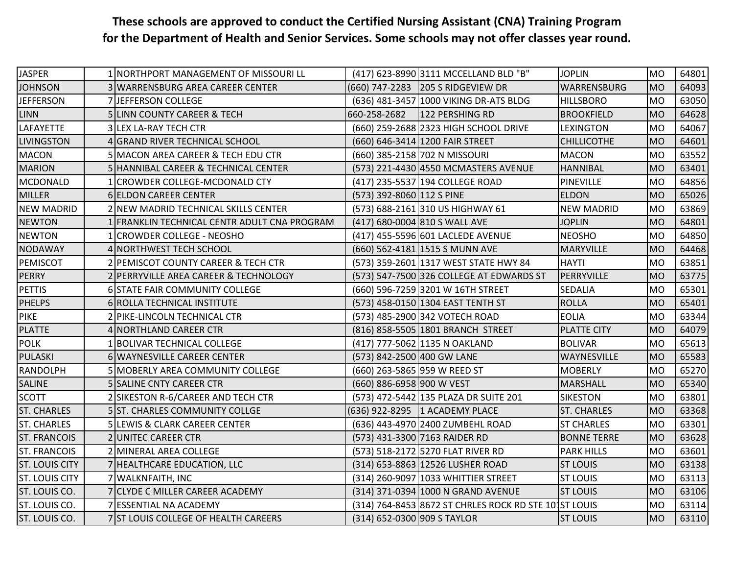## **These schools are approved to conduct the Certified Nursing Assistant (CNA) Training Program for the Department of Health and Senior Services. Some schools may not offer classes year round.**

| <b>JASPER</b>         |   | 1 NORTHPORT MANAGEMENT OF MISSOURI LL        |                             | (417) 623-8990 3111 MCCELLAND BLD "B"                 | JOPLIN             | <b>MO</b> | 64801 |
|-----------------------|---|----------------------------------------------|-----------------------------|-------------------------------------------------------|--------------------|-----------|-------|
| <b>JOHNSON</b>        |   | 3 WARRENSBURG AREA CAREER CENTER             |                             | (660) 747-2283 205 S RIDGEVIEW DR                     | <b>WARRENSBURG</b> | <b>MO</b> | 64093 |
| <b>JEFFERSON</b>      |   | 7 JEFFERSON COLLEGE                          |                             | (636) 481-3457 1000 VIKING DR-ATS BLDG                | <b>HILLSBORO</b>   | <b>MO</b> | 63050 |
| <b>LINN</b>           |   | 5 LINN COUNTY CAREER & TECH                  | 660-258-2682                | 122 PERSHING RD                                       | <b>BROOKFIELD</b>  | <b>MO</b> | 64628 |
| LAFAYETTE             |   | 3 LEX LA-RAY TECH CTR                        |                             | (660) 259-2688 2323 HIGH SCHOOL DRIVE                 | <b>LEXINGTON</b>   | <b>MO</b> | 64067 |
| <b>LIVINGSTON</b>     | 4 | <b>GRAND RIVER TECHNICAL SCHOOL</b>          |                             | (660) 646-3414 1200 FAIR STREET                       | <b>CHILLICOTHE</b> | <b>MO</b> | 64601 |
| <b>MACON</b>          |   | 5 MACON AREA CAREER & TECH EDU CTR           |                             | (660) 385-2158 702 N MISSOURI                         | <b>MACON</b>       | <b>MO</b> | 63552 |
| <b>MARION</b>         |   | 5 HANNIBAL CAREER & TECHNICAL CENTER         |                             | (573) 221-4430 4550 MCMASTERS AVENUE                  | <b>HANNIBAL</b>    | <b>MO</b> | 63401 |
| <b>MCDONALD</b>       |   | 1 CROWDER COLLEGE-MCDONALD CTY               |                             | (417) 235-5537 194 COLLEGE ROAD                       | PINEVILLE          | <b>MO</b> | 64856 |
| <b>MILLER</b>         |   | 6 ELDON CAREER CENTER                        | (573) 392-8060 112 S PINE   |                                                       | <b>ELDON</b>       | <b>MO</b> | 65026 |
| <b>NEW MADRID</b>     |   | 2 NEW MADRID TECHNICAL SKILLS CENTER         |                             | (573) 688-2161 310 US HIGHWAY 61                      | <b>NEW MADRID</b>  | MO        | 63869 |
| <b>NEWTON</b>         |   | 1 FRANKLIN TECHNICAL CENTR ADULT CNA PROGRAM |                             | (417) 680-0004 810 S WALL AVE                         | <b>JOPLIN</b>      | <b>MO</b> | 64801 |
| <b>NEWTON</b>         |   | <b>CROWDER COLLEGE - NEOSHO</b>              |                             | (417) 455-5596 601 LACLEDE AVENUE                     | <b>NEOSHO</b>      | <b>MO</b> | 64850 |
| <b>NODAWAY</b>        |   | 4 NORTHWEST TECH SCHOOL                      |                             | (660) 562-4181 1515 S MUNN AVE                        | <b>MARYVILLE</b>   | <b>MO</b> | 64468 |
| <b>PEMISCOT</b>       |   | 2 PEMISCOT COUNTY CAREER & TECH CTR          |                             | (573) 359-2601 1317 WEST STATE HWY 84                 | <b>HAYTI</b>       | <b>MO</b> | 63851 |
| <b>PERRY</b>          |   | 2 PERRYVILLE AREA CAREER & TECHNOLOGY        |                             | (573) 547-7500 326 COLLEGE AT EDWARDS ST              | PERRYVILLE         | <b>MO</b> | 63775 |
| <b>PETTIS</b>         |   | 6 STATE FAIR COMMUNITY COLLEGE               |                             | (660) 596-7259 3201 W 16TH STREET                     | <b>SEDALIA</b>     | <b>MO</b> | 65301 |
| <b>PHELPS</b>         |   | 6 ROLLA TECHNICAL INSTITUTE                  |                             | (573) 458-0150 1304 EAST TENTH ST                     | <b>ROLLA</b>       | <b>MO</b> | 65401 |
| <b>PIKE</b>           |   | 2 PIKE-LINCOLN TECHNICAL CTR                 |                             | (573) 485-2900 342 VOTECH ROAD                        | <b>EOLIA</b>       | <b>MO</b> | 63344 |
| <b>PLATTE</b>         |   | 4 NORTHLAND CAREER CTR                       |                             | (816) 858-5505 1801 BRANCH STREET                     | <b>PLATTE CITY</b> | <b>MO</b> | 64079 |
| <b>POLK</b>           |   | <b>BOLIVAR TECHNICAL COLLEGE</b>             |                             | (417) 777-5062 1135 N OAKLAND                         | <b>BOLIVAR</b>     | <b>MO</b> | 65613 |
| PULASKI               |   | 6 WAYNESVILLE CAREER CENTER                  | (573) 842-2500 400 GW LANE  |                                                       | WAYNESVILLE        | <b>MO</b> | 65583 |
| <b>RANDOLPH</b>       |   | 5 MOBERLY AREA COMMUNITY COLLEGE             |                             | (660) 263-5865 959 W REED ST                          | <b>MOBERLY</b>     | <b>MO</b> | 65270 |
| SALINE                |   | 5 SALINE CNTY CAREER CTR                     | (660) 886-6958 900 W VEST   |                                                       | <b>MARSHALL</b>    | <b>MO</b> | 65340 |
| <b>SCOTT</b>          |   | 2 SIKESTON R-6/CAREER AND TECH CTR           |                             | (573) 472-5442 135 PLAZA DR SUITE 201                 | <b>SIKESTON</b>    | <b>MO</b> | 63801 |
| <b>ST. CHARLES</b>    |   | 5 ST. CHARLES COMMUNITY COLLGE               |                             | (636) 922-8295 1 ACADEMY PLACE                        | <b>ST. CHARLES</b> | <b>MO</b> | 63368 |
| <b>ST. CHARLES</b>    |   | 5 LEWIS & CLARK CAREER CENTER                |                             | (636) 443-4970 2400 ZUMBEHL ROAD                      | <b>ST CHARLES</b>  | MO        | 63301 |
| <b>ST. FRANCOIS</b>   |   | 2 UNITEC CAREER CTR                          |                             | (573) 431-3300 7163 RAIDER RD                         | <b>BONNE TERRE</b> | <b>MO</b> | 63628 |
| <b>ST. FRANCOIS</b>   |   | 2 MINERAL AREA COLLEGE                       |                             | (573) 518-2172 5270 FLAT RIVER RD                     | <b>PARK HILLS</b>  | <b>MO</b> | 63601 |
| <b>ST. LOUIS CITY</b> |   | 7 HEALTHCARE EDUCATION, LLC                  |                             | (314) 653-8863 12526 LUSHER ROAD                      | <b>ST LOUIS</b>    | <b>MO</b> | 63138 |
| <b>ST. LOUIS CITY</b> |   | 7 WALKNFAITH, INC                            |                             | (314) 260-9097 1033 WHITTIER STREET                   | <b>ST LOUIS</b>    | <b>MO</b> | 63113 |
| ST. LOUIS CO.         |   | 7 CLYDE C MILLER CAREER ACADEMY              |                             | (314) 371-0394 1000 N GRAND AVENUE                    | <b>ST LOUIS</b>    | <b>MO</b> | 63106 |
| ST. LOUIS CO.         |   | 7 ESSENTIAL NA ACADEMY                       |                             | (314) 764-8453 8672 ST CHRLES ROCK RD STE 101ST LOUIS |                    | <b>MO</b> | 63114 |
| ST. LOUIS CO.         |   | 7 ST LOUIS COLLEGE OF HEALTH CAREERS         | (314) 652-0300 909 S TAYLOR |                                                       | <b>ST LOUIS</b>    | <b>MO</b> | 63110 |